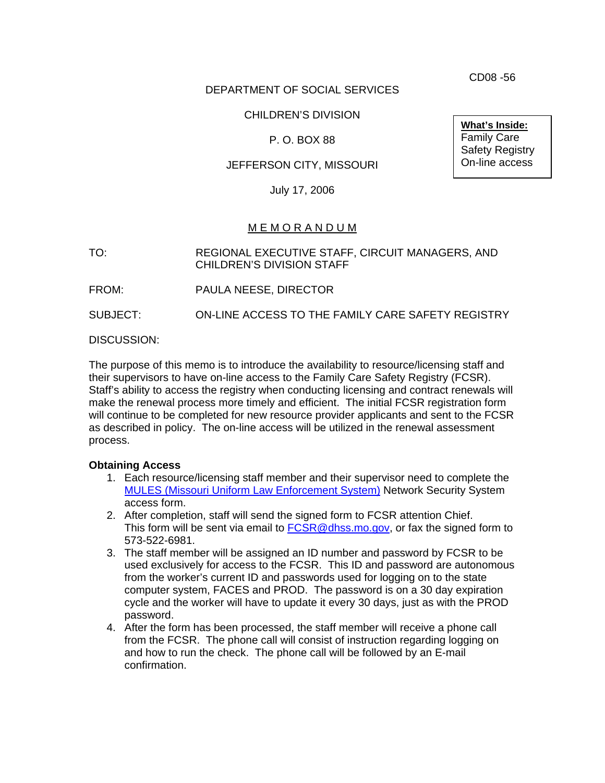DEPARTMENT OF SOCIAL SERVICES

# CHILDREN'S DIVISION

# P. O. BOX 88

### JEFFERSON CITY, MISSOURI

July 17, 2006

# M E M O R A N D U M

TO: REGIONAL EXECUTIVE STAFF, CIRCUIT MANAGERS, AND CHILDREN'S DIVISION STAFF

FROM: PAULA NEESE, DIRECTOR

SUBJECT: ON-LINE ACCESS TO THE FAMILY CARE SAFETY REGISTRY

DISCUSSION:

The purpose of this memo is to introduce the availability to resource/licensing staff and their supervisors to have on-line access to the Family Care Safety Registry (FCSR). Staff's ability to access the registry when conducting licensing and contract renewals will make the renewal process more timely and efficient. The initial FCSR registration form will continue to be completed for new resource provider applicants and sent to the FCSR as described in policy. The on-line access will be utilized in the renewal assessment process.

### **Obtaining Access**

- 1. Each resource/licensing staff member and their supervisor need to complete the [MULES \(Missouri Uniform Law Enforcement System\)](http://www.dhss.mo.gov/FCSR/SHP-292B.pdf) Network Security System access form.
- 2. After completion, staff will send the signed form to FCSR attention Chief. This form will be sent via email to [FCSR@dhss.mo.gov](mailto:FCSR@dhss.mo.gov), or fax the signed form to 573-522-6981.
- 3. The staff member will be assigned an ID number and password by FCSR to be used exclusively for access to the FCSR. This ID and password are autonomous from the worker's current ID and passwords used for logging on to the state computer system, FACES and PROD. The password is on a 30 day expiration cycle and the worker will have to update it every 30 days, just as with the PROD password.
- 4. After the form has been processed, the staff member will receive a phone call from the FCSR. The phone call will consist of instruction regarding logging on and how to run the check. The phone call will be followed by an E-mail confirmation.

CD08 -56

**What's Inside:** Family Care Safety Registry On-line access